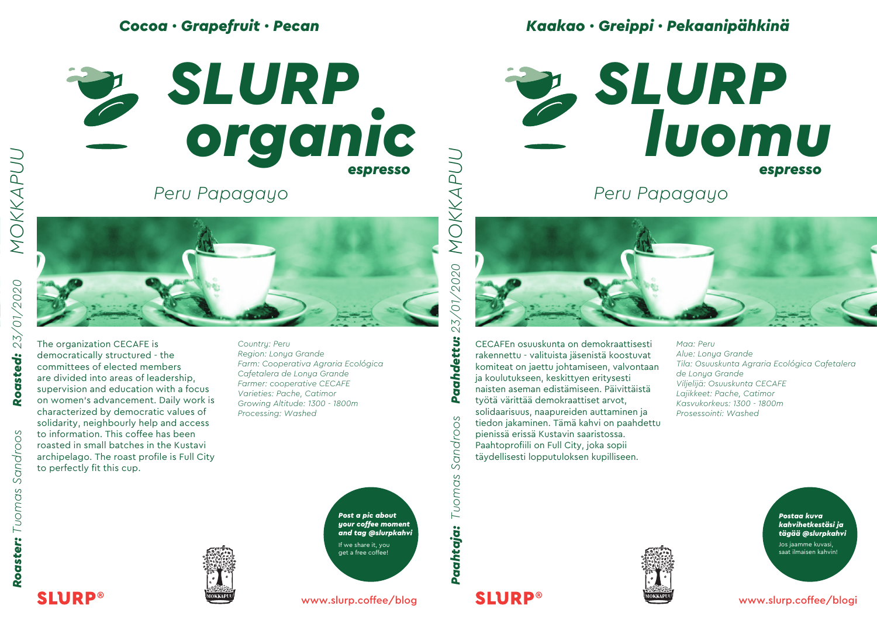### *Cocoa · Grapefruit · Pecan*



*Peru Papagayo*



The organization CECAFE is democratically structured - the committees of elected members are divided into areas of leadership, supervision and education with a focus on women's advancement. Daily work is characterized by democratic values of solidarity, neighbourly help and access to information. This coffee has been roasted in small batches in the Kustavi archipelago. The roast profile is Full City to perfectly fit this cup.

*Country: Peru Region: Lonya Grande Farm: Cooperativa Agraria Ecológica Cafetalera de Lonya Grande Farmer: cooperative CECAFE Varieties: Pache, Catimor Growing Altitude: 1300 - 1800m Processing: Washed*

> *Post a pic about your coffee moment and tag @slurpkahvi* If we share it, you get a free coffee!

*Kaakao · Greippi · Pekaanipähkinä*

**SLURP**<br>
SLURP *espresso espresso*

*Peru Papagayo*



CECAFEn osuuskunta on demokraattisesti rakennettu - valituista jäsenistä koostuvat komiteat on jaettu johtamiseen, valvontaan ja koulutukseen, keskittyen eritysesti naisten aseman edistämiseen. Päivittäistä työtä värittää demokraattiset arvot, solidaarisuus, naapureiden auttaminen ja tiedon jakaminen. Tämä kahvi on paahdettu pienissä erissä Kustavin saaristossa. Paahtoprofiili on Full City, joka sopii täydellisesti lopputuloksen kupilliseen.

*Maa: Peru Alue: Lonya Grande Tila: Osuuskunta Agraria Ecológica Cafetalera de Lonya Grande Viljelijä: Osuuskunta CECAFE Lajikkeet: Pache, Catimor Kasvukorkeus: 1300 - 1800m Prosessointi: Washed*

> *Postaa kuva kahvihetkestäsi ja tägää @slurpkahvi*

Jos jaamme kuvasi, saat ilmaisen kahvin!

www.slurp.coffee/blogi

*MOKKAPUU*





www.slurp.coffee/blog



Paahdettu:

Sandroos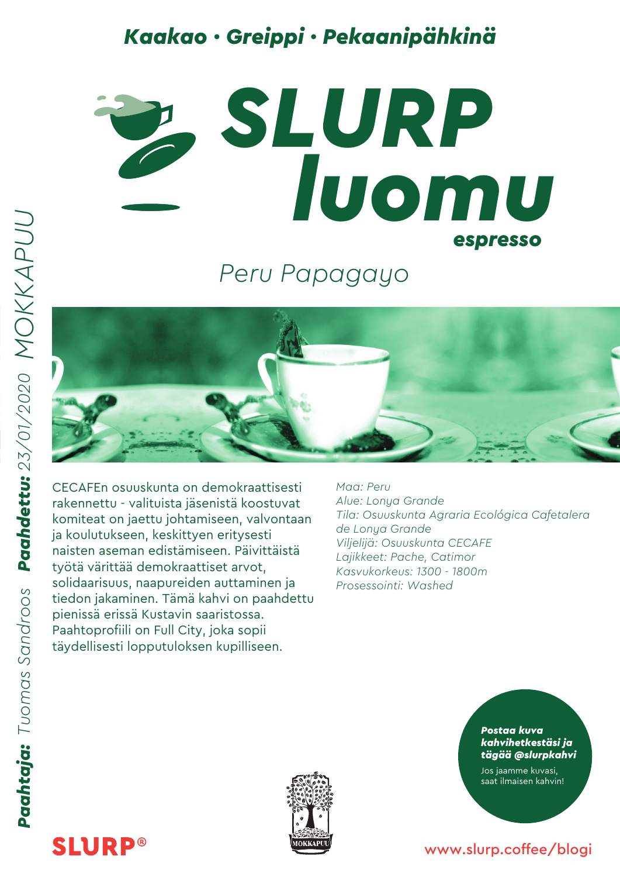# *Kaakao · Greippi · Pekaanipähkinä*



*Peru Papagayo*



CECAFEn osuuskunta on demokraattisesti rakennettu - valituista jäsenistä koostuvat komiteat on jaettu johtamiseen, valvontaan ja koulutukseen, keskittyen eritysesti naisten aseman edistämiseen. Päivittäistä työtä värittää demokraattiset arvot, solidaarisuus, naapureiden auttaminen ja tiedon jakaminen. Tämä kahvi on paahdettu pienissä erissä Kustavin saaristossa. Paahtoprofiili on Full City, joka sopii täydellisesti lopputuloksen kupilliseen.

*Maa: Peru Alue: Lonya Grande Tila: Osuuskunta Agraria Ecológica Cafetalera de Lonya Grande Viljelijä: Osuuskunta CECAFE Lajikkeet: Pache, Catimor Kasvukorkeus: 1300 - 1800m Prosessointi: Washed*



*Postaa kuva kahvihetkestäsi ja tägää @slurpkahvi*

Jos jaamme kuvasi, saat ilmaisen kahvin!

#### www.slurp.coffee/blogi